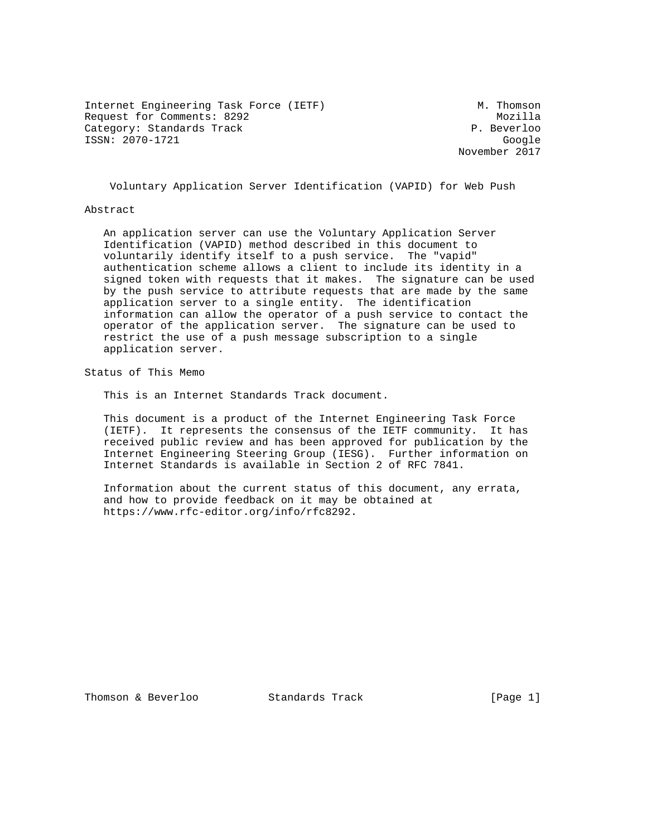Internet Engineering Task Force (IETF) M. Thomson Request for Comments: 8292 Mozilla Category: Standards Track extending the property of the P. Beverloo ISSN: 2070-1721 Google

November 2017

Voluntary Application Server Identification (VAPID) for Web Push

#### Abstract

 An application server can use the Voluntary Application Server Identification (VAPID) method described in this document to voluntarily identify itself to a push service. The "vapid" authentication scheme allows a client to include its identity in a signed token with requests that it makes. The signature can be used by the push service to attribute requests that are made by the same application server to a single entity. The identification information can allow the operator of a push service to contact the operator of the application server. The signature can be used to restrict the use of a push message subscription to a single application server.

Status of This Memo

This is an Internet Standards Track document.

 This document is a product of the Internet Engineering Task Force (IETF). It represents the consensus of the IETF community. It has received public review and has been approved for publication by the Internet Engineering Steering Group (IESG). Further information on Internet Standards is available in Section 2 of RFC 7841.

 Information about the current status of this document, any errata, and how to provide feedback on it may be obtained at https://www.rfc-editor.org/info/rfc8292.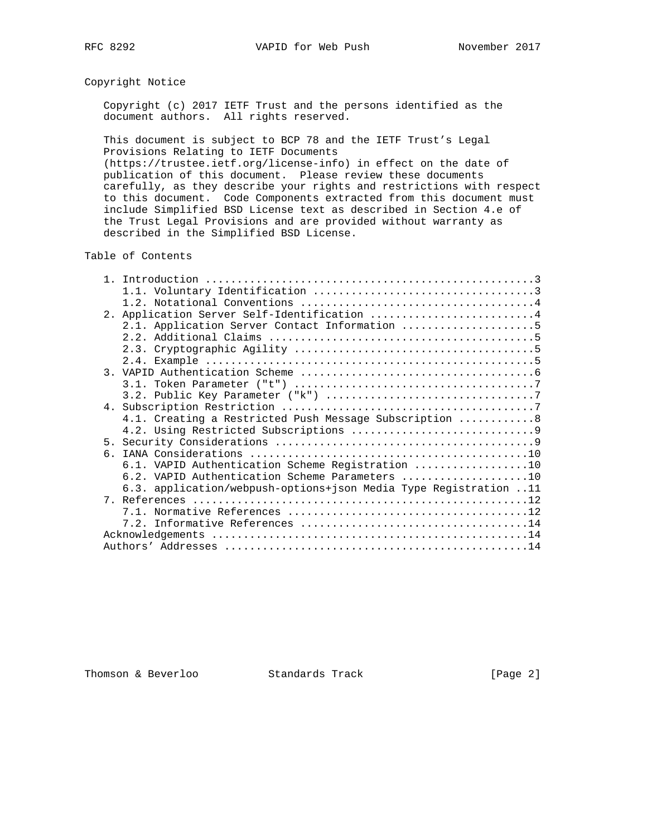# Copyright Notice

 Copyright (c) 2017 IETF Trust and the persons identified as the document authors. All rights reserved.

 This document is subject to BCP 78 and the IETF Trust's Legal Provisions Relating to IETF Documents

 (https://trustee.ietf.org/license-info) in effect on the date of publication of this document. Please review these documents carefully, as they describe your rights and restrictions with respect to this document. Code Components extracted from this document must include Simplified BSD License text as described in Section 4.e of the Trust Legal Provisions and are provided without warranty as described in the Simplified BSD License.

## Table of Contents

| 2. Application Server Self-Identification 4                      |
|------------------------------------------------------------------|
| 2.1. Application Server Contact Information 5                    |
|                                                                  |
|                                                                  |
|                                                                  |
|                                                                  |
|                                                                  |
|                                                                  |
|                                                                  |
| 4.1. Creating a Restricted Push Message Subscription  8          |
|                                                                  |
|                                                                  |
|                                                                  |
| 6.1. VAPID Authentication Scheme Registration 10                 |
| 6.2. VAPID Authentication Scheme Parameters 10                   |
| 6.3. application/webpush-options+json Media Type Registration 11 |
|                                                                  |
|                                                                  |
|                                                                  |
|                                                                  |
|                                                                  |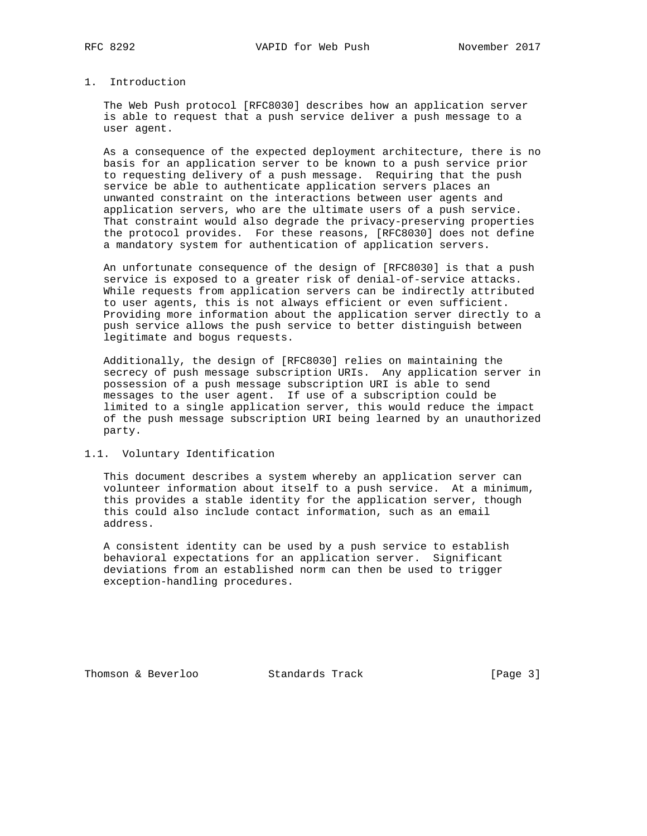# 1. Introduction

 The Web Push protocol [RFC8030] describes how an application server is able to request that a push service deliver a push message to a user agent.

 As a consequence of the expected deployment architecture, there is no basis for an application server to be known to a push service prior to requesting delivery of a push message. Requiring that the push service be able to authenticate application servers places an unwanted constraint on the interactions between user agents and application servers, who are the ultimate users of a push service. That constraint would also degrade the privacy-preserving properties the protocol provides. For these reasons, [RFC8030] does not define a mandatory system for authentication of application servers.

 An unfortunate consequence of the design of [RFC8030] is that a push service is exposed to a greater risk of denial-of-service attacks. While requests from application servers can be indirectly attributed to user agents, this is not always efficient or even sufficient. Providing more information about the application server directly to a push service allows the push service to better distinguish between legitimate and bogus requests.

 Additionally, the design of [RFC8030] relies on maintaining the secrecy of push message subscription URIs. Any application server in possession of a push message subscription URI is able to send messages to the user agent. If use of a subscription could be limited to a single application server, this would reduce the impact of the push message subscription URI being learned by an unauthorized party.

#### 1.1. Voluntary Identification

 This document describes a system whereby an application server can volunteer information about itself to a push service. At a minimum, this provides a stable identity for the application server, though this could also include contact information, such as an email address.

 A consistent identity can be used by a push service to establish behavioral expectations for an application server. Significant deviations from an established norm can then be used to trigger exception-handling procedures.

Thomson & Beverloo Standards Track [Page 3]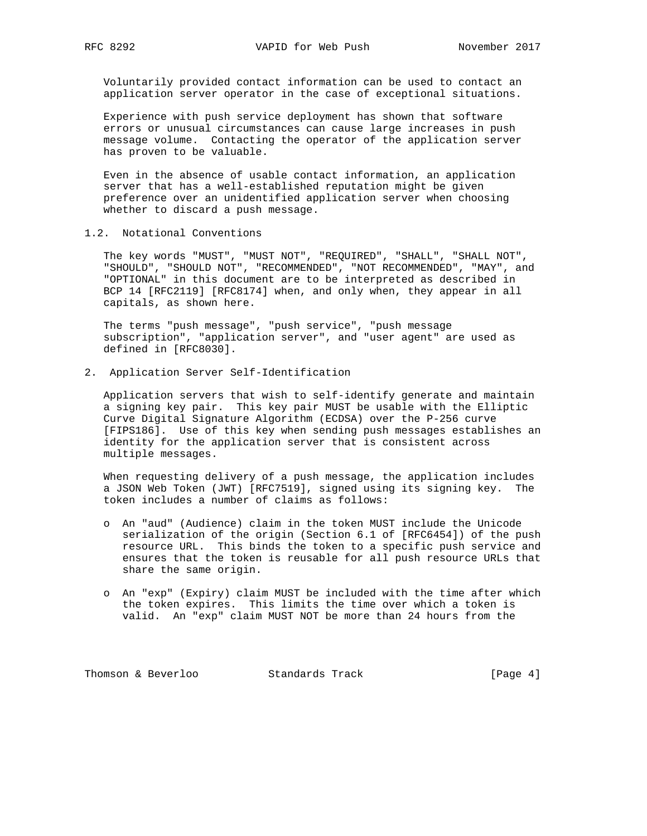Voluntarily provided contact information can be used to contact an application server operator in the case of exceptional situations.

 Experience with push service deployment has shown that software errors or unusual circumstances can cause large increases in push message volume. Contacting the operator of the application server has proven to be valuable.

 Even in the absence of usable contact information, an application server that has a well-established reputation might be given preference over an unidentified application server when choosing whether to discard a push message.

1.2. Notational Conventions

 The key words "MUST", "MUST NOT", "REQUIRED", "SHALL", "SHALL NOT", "SHOULD", "SHOULD NOT", "RECOMMENDED", "NOT RECOMMENDED", "MAY", and "OPTIONAL" in this document are to be interpreted as described in BCP 14 [RFC2119] [RFC8174] when, and only when, they appear in all capitals, as shown here.

 The terms "push message", "push service", "push message subscription", "application server", and "user agent" are used as defined in [RFC8030].

2. Application Server Self-Identification

 Application servers that wish to self-identify generate and maintain a signing key pair. This key pair MUST be usable with the Elliptic Curve Digital Signature Algorithm (ECDSA) over the P-256 curve [FIPS186]. Use of this key when sending push messages establishes an identity for the application server that is consistent across multiple messages.

 When requesting delivery of a push message, the application includes a JSON Web Token (JWT) [RFC7519], signed using its signing key. The token includes a number of claims as follows:

- o An "aud" (Audience) claim in the token MUST include the Unicode serialization of the origin (Section 6.1 of [RFC6454]) of the push resource URL. This binds the token to a specific push service and ensures that the token is reusable for all push resource URLs that share the same origin.
- o An "exp" (Expiry) claim MUST be included with the time after which the token expires. This limits the time over which a token is valid. An "exp" claim MUST NOT be more than 24 hours from the

Thomson & Beverloo Standards Track [Page 4]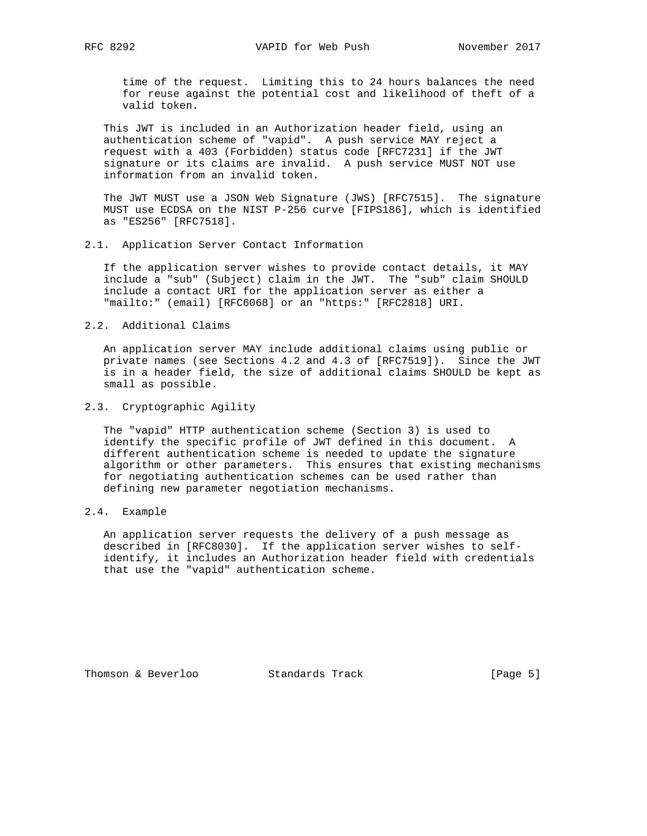time of the request. Limiting this to 24 hours balances the need for reuse against the potential cost and likelihood of theft of a valid token.

 This JWT is included in an Authorization header field, using an authentication scheme of "vapid". A push service MAY reject a request with a 403 (Forbidden) status code [RFC7231] if the JWT signature or its claims are invalid. A push service MUST NOT use information from an invalid token.

 The JWT MUST use a JSON Web Signature (JWS) [RFC7515]. The signature MUST use ECDSA on the NIST P-256 curve [FIPS186], which is identified as "ES256" [RFC7518].

2.1. Application Server Contact Information

 If the application server wishes to provide contact details, it MAY include a "sub" (Subject) claim in the JWT. The "sub" claim SHOULD include a contact URI for the application server as either a "mailto:" (email) [RFC6068] or an "https:" [RFC2818] URI.

2.2. Additional Claims

 An application server MAY include additional claims using public or private names (see Sections 4.2 and 4.3 of [RFC7519]). Since the JWT is in a header field, the size of additional claims SHOULD be kept as small as possible.

2.3. Cryptographic Agility

 The "vapid" HTTP authentication scheme (Section 3) is used to identify the specific profile of JWT defined in this document. A different authentication scheme is needed to update the signature algorithm or other parameters. This ensures that existing mechanisms for negotiating authentication schemes can be used rather than defining new parameter negotiation mechanisms.

2.4. Example

 An application server requests the delivery of a push message as described in [RFC8030]. If the application server wishes to self identify, it includes an Authorization header field with credentials that use the "vapid" authentication scheme.

Thomson & Beverloo Standards Track [Page 5]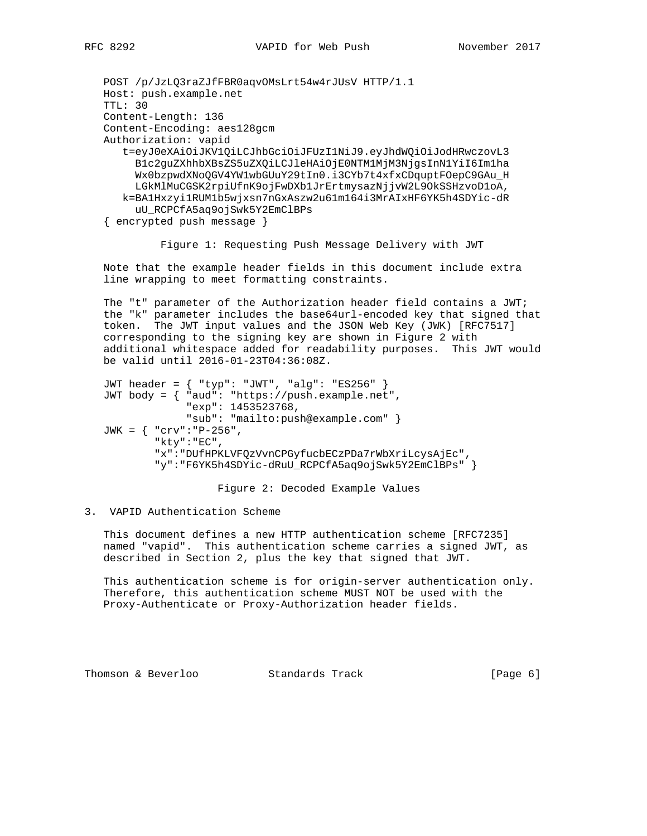```
 POST /p/JzLQ3raZJfFBR0aqvOMsLrt54w4rJUsV HTTP/1.1
Host: push.example.net
TTL: 30
Content-Length: 136
Content-Encoding: aes128gcm
Authorization: vapid
   t=eyJ0eXAiOiJKV1QiLCJhbGciOiJFUzI1NiJ9.eyJhdWQiOiJodHRwczovL3
     B1c2guZXhhbXBsZS5uZXQiLCJleHAiOjE0NTM1MjM3NjgsInN1YiI6Im1ha
     Wx0bzpwdXNoQGV4YW1wbGUuY29tIn0.i3CYb7t4xfxCDquptFOepC9GAu_H
```

```
 uU_RCPCfA5aq9ojSwk5Y2EmClBPs
{ encrypted push message }
```
Figure 1: Requesting Push Message Delivery with JWT

 LGkMlMuCGSK2rpiUfnK9ojFwDXb1JrErtmysazNjjvW2L9OkSSHzvoD1oA, k=BA1Hxzyi1RUM1b5wjxsn7nGxAszw2u61m164i3MrAIxHF6YK5h4SDYic-dR

 Note that the example header fields in this document include extra line wrapping to meet formatting constraints.

 The "t" parameter of the Authorization header field contains a JWT; the "k" parameter includes the base64url-encoded key that signed that token. The JWT input values and the JSON Web Key (JWK) [RFC7517] corresponding to the signing key are shown in Figure 2 with additional whitespace added for readability purposes. This JWT would be valid until 2016-01-23T04:36:08Z.

```
 JWT header = { "typ": "JWT", "alg": "ES256" }
JWT body = { "aud": "https://push.example.net",
             "exp": 1453523768,
             "sub": "mailto:push@example.com" }
JWK = { "crv":"P-256",
        "kty":"EC",
        "x":"DUfHPKLVFQzVvnCPGyfucbECzPDa7rWbXriLcysAjEc",
        "y":"F6YK5h4SDYic-dRuU_RCPCfA5aq9ojSwk5Y2EmClBPs" }
```
Figure 2: Decoded Example Values

## 3. VAPID Authentication Scheme

 This document defines a new HTTP authentication scheme [RFC7235] named "vapid". This authentication scheme carries a signed JWT, as described in Section 2, plus the key that signed that JWT.

 This authentication scheme is for origin-server authentication only. Therefore, this authentication scheme MUST NOT be used with the Proxy-Authenticate or Proxy-Authorization header fields.

Thomson & Beverloo **Standards Track** [Page 6]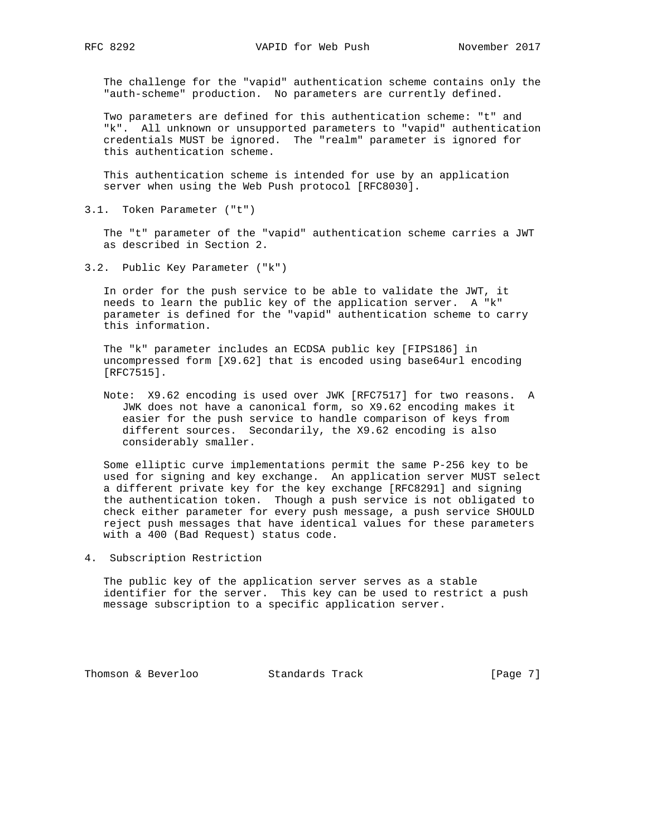The challenge for the "vapid" authentication scheme contains only the "auth-scheme" production. No parameters are currently defined.

 Two parameters are defined for this authentication scheme: "t" and "k". All unknown or unsupported parameters to "vapid" authentication credentials MUST be ignored. The "realm" parameter is ignored for this authentication scheme.

 This authentication scheme is intended for use by an application server when using the Web Push protocol [RFC8030].

3.1. Token Parameter ("t")

 The "t" parameter of the "vapid" authentication scheme carries a JWT as described in Section 2.

3.2. Public Key Parameter ("k")

 In order for the push service to be able to validate the JWT, it needs to learn the public key of the application server. A "k" parameter is defined for the "vapid" authentication scheme to carry this information.

 The "k" parameter includes an ECDSA public key [FIPS186] in uncompressed form [X9.62] that is encoded using base64url encoding [RFC7515].

 Note: X9.62 encoding is used over JWK [RFC7517] for two reasons. A JWK does not have a canonical form, so X9.62 encoding makes it easier for the push service to handle comparison of keys from different sources. Secondarily, the X9.62 encoding is also considerably smaller.

 Some elliptic curve implementations permit the same P-256 key to be used for signing and key exchange. An application server MUST select a different private key for the key exchange [RFC8291] and signing the authentication token. Though a push service is not obligated to check either parameter for every push message, a push service SHOULD reject push messages that have identical values for these parameters with a 400 (Bad Request) status code.

4. Subscription Restriction

 The public key of the application server serves as a stable identifier for the server. This key can be used to restrict a push message subscription to a specific application server.

Thomson & Beverloo Standards Track [Page 7]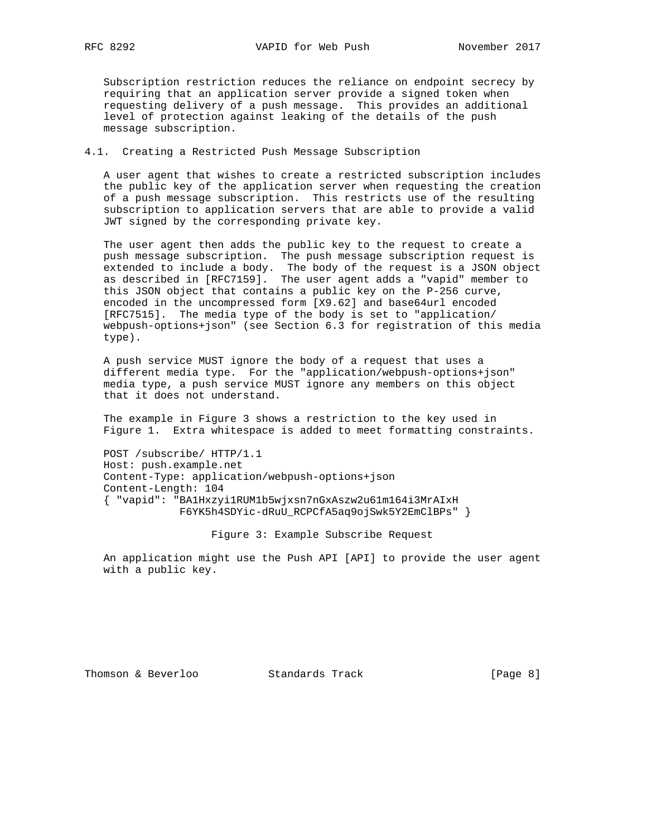Subscription restriction reduces the reliance on endpoint secrecy by requiring that an application server provide a signed token when requesting delivery of a push message. This provides an additional level of protection against leaking of the details of the push message subscription.

4.1. Creating a Restricted Push Message Subscription

 A user agent that wishes to create a restricted subscription includes the public key of the application server when requesting the creation of a push message subscription. This restricts use of the resulting subscription to application servers that are able to provide a valid JWT signed by the corresponding private key.

 The user agent then adds the public key to the request to create a push message subscription. The push message subscription request is extended to include a body. The body of the request is a JSON object as described in [RFC7159]. The user agent adds a "vapid" member to this JSON object that contains a public key on the P-256 curve, encoded in the uncompressed form [X9.62] and base64url encoded [RFC7515]. The media type of the body is set to "application/ webpush-options+json" (see Section 6.3 for registration of this media type).

 A push service MUST ignore the body of a request that uses a different media type. For the "application/webpush-options+json" media type, a push service MUST ignore any members on this object that it does not understand.

 The example in Figure 3 shows a restriction to the key used in Figure 1. Extra whitespace is added to meet formatting constraints.

 POST /subscribe/ HTTP/1.1 Host: push.example.net Content-Type: application/webpush-options+json Content-Length: 104 { "vapid": "BA1Hxzyi1RUM1b5wjxsn7nGxAszw2u61m164i3MrAIxH F6YK5h4SDYic-dRuU\_RCPCfA5aq9ojSwk5Y2EmClBPs" }

Figure 3: Example Subscribe Request

 An application might use the Push API [API] to provide the user agent with a public key.

Thomson & Beverloo Standards Track [Page 8]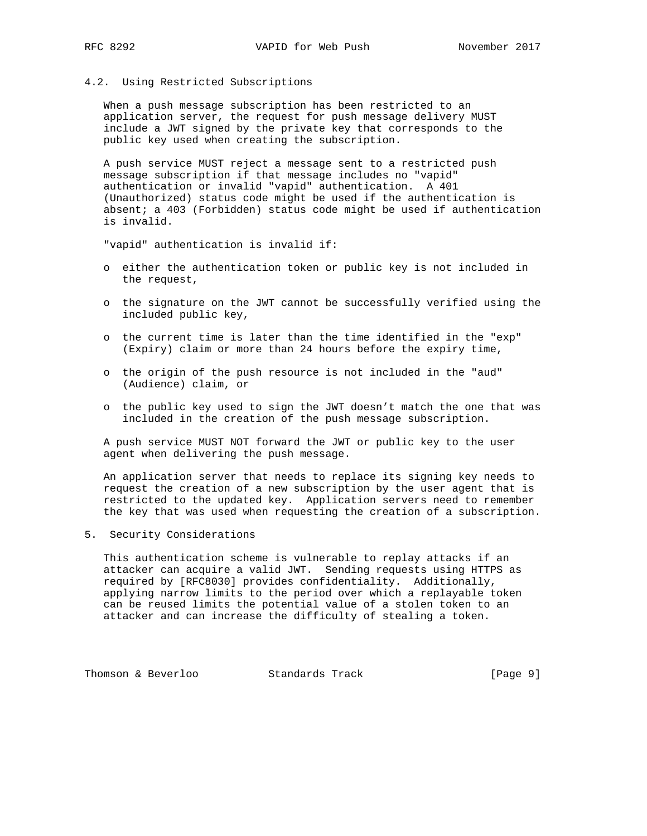#### 4.2. Using Restricted Subscriptions

 When a push message subscription has been restricted to an application server, the request for push message delivery MUST include a JWT signed by the private key that corresponds to the public key used when creating the subscription.

 A push service MUST reject a message sent to a restricted push message subscription if that message includes no "vapid" authentication or invalid "vapid" authentication. A 401 (Unauthorized) status code might be used if the authentication is absent; a 403 (Forbidden) status code might be used if authentication is invalid.

"vapid" authentication is invalid if:

- o either the authentication token or public key is not included in the request,
- o the signature on the JWT cannot be successfully verified using the included public key,
- o the current time is later than the time identified in the "exp" (Expiry) claim or more than 24 hours before the expiry time,
- o the origin of the push resource is not included in the "aud" (Audience) claim, or
- o the public key used to sign the JWT doesn't match the one that was included in the creation of the push message subscription.

 A push service MUST NOT forward the JWT or public key to the user agent when delivering the push message.

 An application server that needs to replace its signing key needs to request the creation of a new subscription by the user agent that is restricted to the updated key. Application servers need to remember the key that was used when requesting the creation of a subscription.

### 5. Security Considerations

 This authentication scheme is vulnerable to replay attacks if an attacker can acquire a valid JWT. Sending requests using HTTPS as required by [RFC8030] provides confidentiality. Additionally, applying narrow limits to the period over which a replayable token can be reused limits the potential value of a stolen token to an attacker and can increase the difficulty of stealing a token.

Thomson & Beverloo Standards Track [Page 9]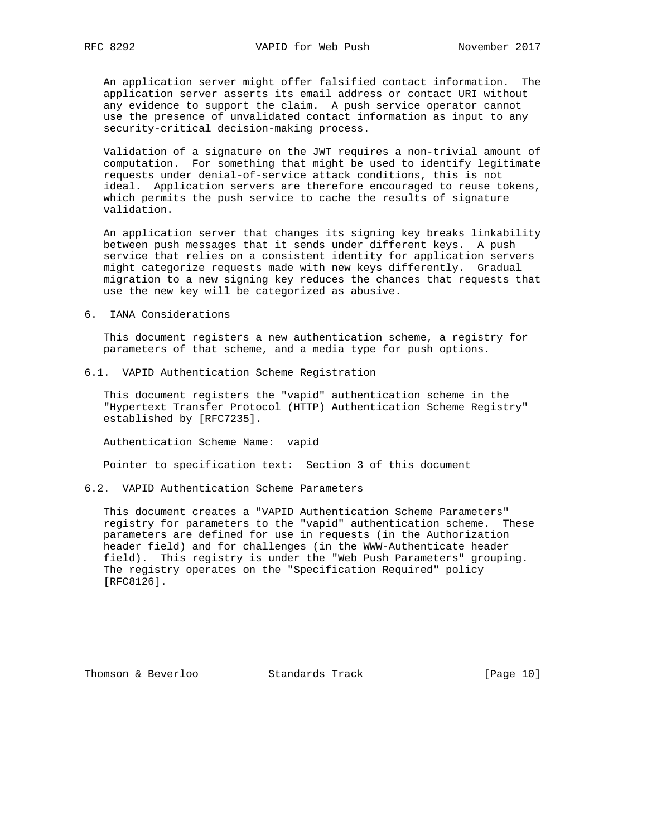An application server might offer falsified contact information. The application server asserts its email address or contact URI without any evidence to support the claim. A push service operator cannot use the presence of unvalidated contact information as input to any security-critical decision-making process.

 Validation of a signature on the JWT requires a non-trivial amount of computation. For something that might be used to identify legitimate requests under denial-of-service attack conditions, this is not ideal. Application servers are therefore encouraged to reuse tokens, which permits the push service to cache the results of signature validation.

 An application server that changes its signing key breaks linkability between push messages that it sends under different keys. A push service that relies on a consistent identity for application servers might categorize requests made with new keys differently. Gradual migration to a new signing key reduces the chances that requests that use the new key will be categorized as abusive.

#### 6. IANA Considerations

 This document registers a new authentication scheme, a registry for parameters of that scheme, and a media type for push options.

6.1. VAPID Authentication Scheme Registration

 This document registers the "vapid" authentication scheme in the "Hypertext Transfer Protocol (HTTP) Authentication Scheme Registry" established by [RFC7235].

Authentication Scheme Name: vapid

Pointer to specification text: Section 3 of this document

6.2. VAPID Authentication Scheme Parameters

 This document creates a "VAPID Authentication Scheme Parameters" registry for parameters to the "vapid" authentication scheme. These parameters are defined for use in requests (in the Authorization header field) and for challenges (in the WWW-Authenticate header field). This registry is under the "Web Push Parameters" grouping. The registry operates on the "Specification Required" policy [RFC8126].

Thomson & Beverloo Standards Track [Page 10]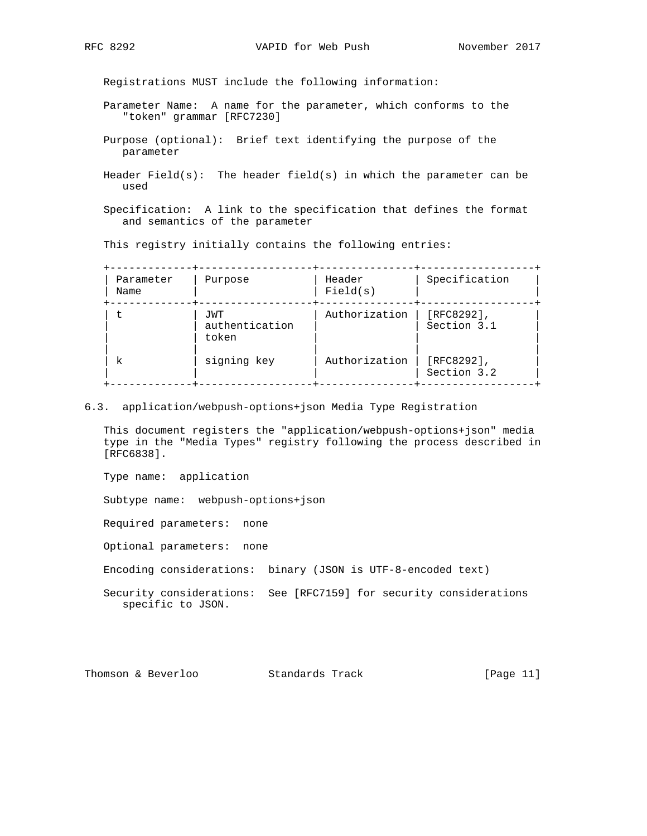Registrations MUST include the following information:

- Parameter Name: A name for the parameter, which conforms to the "token" grammar [RFC7230]
- Purpose (optional): Brief text identifying the purpose of the parameter
- Header Field(s): The header field(s) in which the parameter can be used
- Specification: A link to the specification that defines the format and semantics of the parameter

This registry initially contains the following entries:

| Parameter<br>Name | Purpose                        | Header<br>Field(s) | Specification                |
|-------------------|--------------------------------|--------------------|------------------------------|
|                   | JWT<br>authentication<br>token | Authorization      | $[RFC8292]$ ,<br>Section 3.1 |
| k                 | signing key                    | Authorization      | $[RFC8292]$ ,<br>Section 3.2 |

6.3. application/webpush-options+json Media Type Registration

 This document registers the "application/webpush-options+json" media type in the "Media Types" registry following the process described in [RFC6838].

Type name: application

Subtype name: webpush-options+json

Required parameters: none

Optional parameters: none

Encoding considerations: binary (JSON is UTF-8-encoded text)

 Security considerations: See [RFC7159] for security considerations specific to JSON.

| Thomson & Beverloo |  | Standards Track | [Page $11$ ] |  |  |
|--------------------|--|-----------------|--------------|--|--|
|--------------------|--|-----------------|--------------|--|--|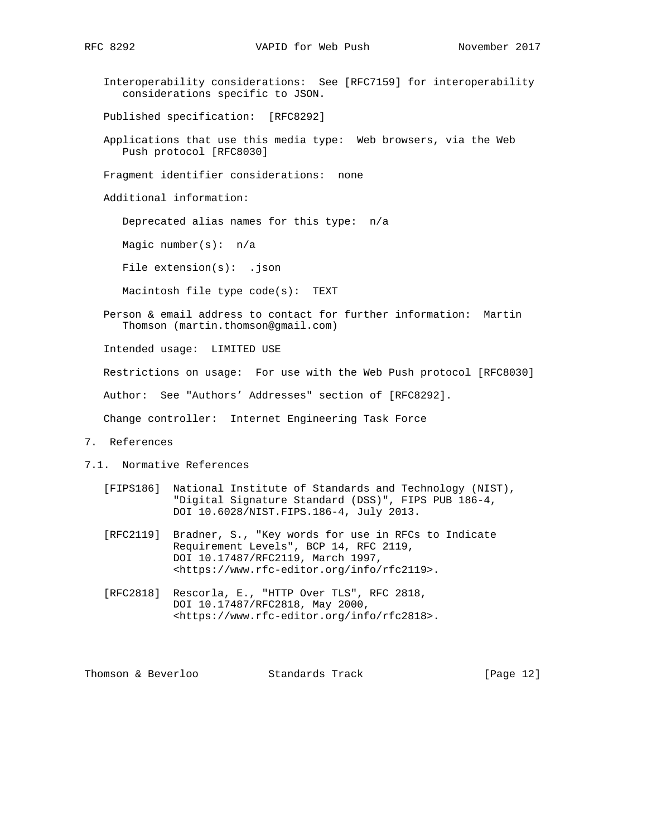Interoperability considerations: See [RFC7159] for interoperability considerations specific to JSON.

Published specification: [RFC8292]

 Applications that use this media type: Web browsers, via the Web Push protocol [RFC8030]

Fragment identifier considerations: none

Additional information:

Deprecated alias names for this type: n/a

Magic number(s): n/a

File extension(s): .json

Macintosh file type code(s): TEXT

 Person & email address to contact for further information: Martin Thomson (martin.thomson@gmail.com)

Intended usage: LIMITED USE

Restrictions on usage: For use with the Web Push protocol [RFC8030]

Author: See "Authors' Addresses" section of [RFC8292].

Change controller: Internet Engineering Task Force

- 7. References
- 7.1. Normative References
	- [FIPS186] National Institute of Standards and Technology (NIST), "Digital Signature Standard (DSS)", FIPS PUB 186-4, DOI 10.6028/NIST.FIPS.186-4, July 2013.
	- [RFC2119] Bradner, S., "Key words for use in RFCs to Indicate Requirement Levels", BCP 14, RFC 2119, DOI 10.17487/RFC2119, March 1997, <https://www.rfc-editor.org/info/rfc2119>.
	- [RFC2818] Rescorla, E., "HTTP Over TLS", RFC 2818, DOI 10.17487/RFC2818, May 2000, <https://www.rfc-editor.org/info/rfc2818>.

Thomson & Beverloo Standards Track [Page 12]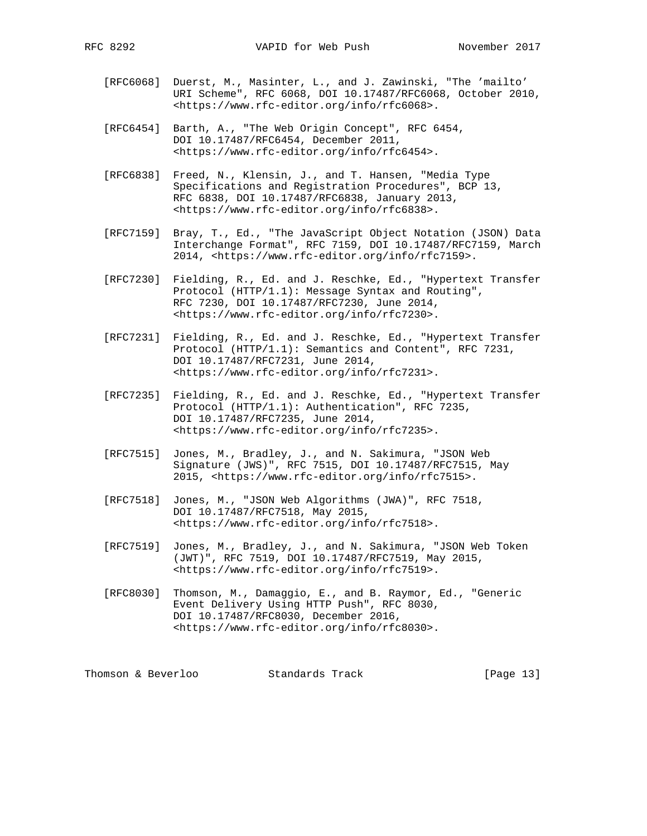- [RFC6068] Duerst, M., Masinter, L., and J. Zawinski, "The 'mailto' URI Scheme", RFC 6068, DOI 10.17487/RFC6068, October 2010, <https://www.rfc-editor.org/info/rfc6068>.
- [RFC6454] Barth, A., "The Web Origin Concept", RFC 6454, DOI 10.17487/RFC6454, December 2011, <https://www.rfc-editor.org/info/rfc6454>.
- [RFC6838] Freed, N., Klensin, J., and T. Hansen, "Media Type Specifications and Registration Procedures", BCP 13, RFC 6838, DOI 10.17487/RFC6838, January 2013, <https://www.rfc-editor.org/info/rfc6838>.
- [RFC7159] Bray, T., Ed., "The JavaScript Object Notation (JSON) Data Interchange Format", RFC 7159, DOI 10.17487/RFC7159, March 2014, <https://www.rfc-editor.org/info/rfc7159>.
- [RFC7230] Fielding, R., Ed. and J. Reschke, Ed., "Hypertext Transfer Protocol (HTTP/1.1): Message Syntax and Routing", RFC 7230, DOI 10.17487/RFC7230, June 2014, <https://www.rfc-editor.org/info/rfc7230>.
- [RFC7231] Fielding, R., Ed. and J. Reschke, Ed., "Hypertext Transfer Protocol (HTTP/1.1): Semantics and Content", RFC 7231, DOI 10.17487/RFC7231, June 2014, <https://www.rfc-editor.org/info/rfc7231>.
- [RFC7235] Fielding, R., Ed. and J. Reschke, Ed., "Hypertext Transfer Protocol (HTTP/1.1): Authentication", RFC 7235, DOI 10.17487/RFC7235, June 2014, <https://www.rfc-editor.org/info/rfc7235>.
- [RFC7515] Jones, M., Bradley, J., and N. Sakimura, "JSON Web Signature (JWS)", RFC 7515, DOI 10.17487/RFC7515, May 2015, <https://www.rfc-editor.org/info/rfc7515>.
- [RFC7518] Jones, M., "JSON Web Algorithms (JWA)", RFC 7518, DOI 10.17487/RFC7518, May 2015, <https://www.rfc-editor.org/info/rfc7518>.
- [RFC7519] Jones, M., Bradley, J., and N. Sakimura, "JSON Web Token (JWT)", RFC 7519, DOI 10.17487/RFC7519, May 2015, <https://www.rfc-editor.org/info/rfc7519>.
- [RFC8030] Thomson, M., Damaggio, E., and B. Raymor, Ed., "Generic Event Delivery Using HTTP Push", RFC 8030, DOI 10.17487/RFC8030, December 2016, <https://www.rfc-editor.org/info/rfc8030>.

Thomson & Beverloo Standards Track [Page 13]